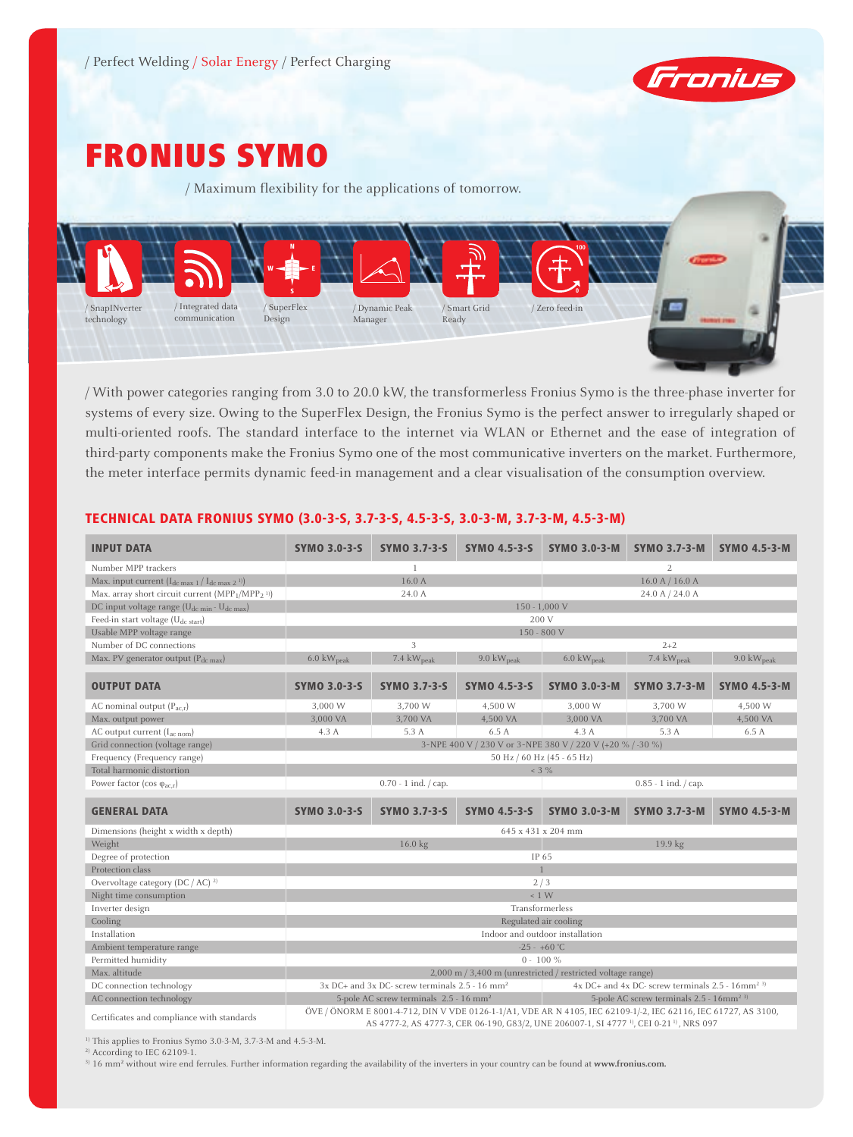

# Fronius Symo

/ Maximum flexibility for the applications of tomorrow.



/ With power categories ranging from 3.0 to 20.0 kW, the transformerless Fronius Symo is the three-phase inverter for systems of every size. Owing to the SuperFlex Design, the Fronius Symo is the perfect answer to irregularly shaped or multi-oriented roofs. The standard interface to the internet via WLAN or Ethernet and the ease of integration of third-party components make the Fronius Symo one of the most communicative inverters on the market. Furthermore, the meter interface permits dynamic feed-in management and a clear visualisation of the consumption overview.

| <b>INPUT DATA</b>                                                                    | <b>SYMO 3.0-3-S</b>                                                                                                                                                                                                                 | <b>SYMO 3.7-3-S</b>                                            | <b>SYMO 4.5-3-S</b> | <b>SYMO 3.0-3-M</b>                                         |                                                                     | SYMO 3.7-3-M SYMO 4.5-3-M      |  |
|--------------------------------------------------------------------------------------|-------------------------------------------------------------------------------------------------------------------------------------------------------------------------------------------------------------------------------------|----------------------------------------------------------------|---------------------|-------------------------------------------------------------|---------------------------------------------------------------------|--------------------------------|--|
| Number MPP trackers                                                                  |                                                                                                                                                                                                                                     | $\mathbf{1}$                                                   |                     | $\overline{2}$                                              |                                                                     |                                |  |
| Max. input current $(I_{dc max 1}/I_{dc max 2})$                                     | 16.0 A                                                                                                                                                                                                                              |                                                                |                     |                                                             | 16.0 A / 16.0 A                                                     |                                |  |
| Max. array short circuit current (MPP <sub>1</sub> /MPP <sub>2</sub> <sup>1)</sup> ) |                                                                                                                                                                                                                                     | 24.0 A                                                         |                     |                                                             | 24.0 A / 24.0 A                                                     |                                |  |
| DC input voltage range (U <sub>dc min</sub> - U <sub>dc max</sub> )                  |                                                                                                                                                                                                                                     |                                                                |                     | $150 - 1,000$ V                                             |                                                                     |                                |  |
| Feed-in start voltage $(U_{dc\ start})$                                              |                                                                                                                                                                                                                                     |                                                                |                     | 200 V                                                       |                                                                     |                                |  |
| Usable MPP voltage range                                                             |                                                                                                                                                                                                                                     |                                                                |                     | 150 - 800 V                                                 |                                                                     |                                |  |
| Number of DC connections                                                             |                                                                                                                                                                                                                                     | 3                                                              |                     | $2 + 2$                                                     |                                                                     |                                |  |
| Max. PV generator output $(P_{dc max})$                                              | $6.0 \text{ kW}_{\text{peak}}$                                                                                                                                                                                                      | 7.4 $kW_{peak}$                                                | 9.0 $kW_{peak}$     | $6.0 \text{ kW}_{\text{peak}}$                              | 7.4 kW <sub>peak</sub>                                              | $9.0 \text{ kW}_{\text{peak}}$ |  |
| <b>OUTPUT DATA</b>                                                                   | <b>SYMO 3.0-3-S</b>                                                                                                                                                                                                                 | <b>SYMO 3.7-3-S</b>                                            | <b>SYMO 4.5-3-S</b> | <b>SYMO 3.0-3-M</b>                                         | <b>SYMO 3.7-3-M</b>                                                 | <b>SYMO 4.5-3-M</b>            |  |
| AC nominal output $(P_{acx})$                                                        | 3,000 W                                                                                                                                                                                                                             | 3.700 W                                                        | 4.500 W             | 3.000 W                                                     | 3.700 W                                                             | 4.500 W                        |  |
| Max. output power                                                                    | 3,000 VA                                                                                                                                                                                                                            | 3.700 VA                                                       | 4,500 VA            | 3,000 VA                                                    | 3,700 VA                                                            | 4,500 VA                       |  |
| AC output current $(I_{ac\ nom})$                                                    | 4.3A                                                                                                                                                                                                                                | 5.3 A                                                          | 6.5A                | 4.3A                                                        | 5.3 A                                                               | 6.5 A                          |  |
| Grid connection (voltage range)                                                      | 3~NPE 400 V / 230 V or 3~NPE 380 V / 220 V (+20 % / -30 %)                                                                                                                                                                          |                                                                |                     |                                                             |                                                                     |                                |  |
| Frequency (Frequency range)                                                          |                                                                                                                                                                                                                                     |                                                                |                     | 50 Hz / 60 Hz (45 - 65 Hz)                                  |                                                                     |                                |  |
| Total harmonic distortion                                                            |                                                                                                                                                                                                                                     |                                                                |                     | $< 3 \%$                                                    |                                                                     |                                |  |
| Power factor (cos $\varphi_{ac,r}$ )                                                 |                                                                                                                                                                                                                                     | $0.70 - 1$ ind. $\frac{1}{2}$ cap.                             |                     |                                                             | $0.85 - 1$ ind. / cap.                                              |                                |  |
| <b>GENERAL DATA</b>                                                                  | <b>SYMO 3.0-3-S</b>                                                                                                                                                                                                                 | <b>SYMO 3.7-3-S</b>                                            | <b>SYMO 4.5-3-S</b> | <b>SYMO 3.0-3-M</b>                                         | <b>SYMO 3.7-3-M</b>                                                 | <b>SYMO 4.5-3-M</b>            |  |
| Dimensions (height x width x depth)                                                  |                                                                                                                                                                                                                                     |                                                                |                     | 645 x 431 x 204 mm                                          |                                                                     |                                |  |
| Weight                                                                               | 16.0 kg<br>19.9 kg                                                                                                                                                                                                                  |                                                                |                     |                                                             |                                                                     |                                |  |
| Degree of protection                                                                 | IP 65                                                                                                                                                                                                                               |                                                                |                     |                                                             |                                                                     |                                |  |
| Protection class                                                                     |                                                                                                                                                                                                                                     |                                                                |                     |                                                             |                                                                     |                                |  |
| Overvoltage category (DC / AC) $^{2}$                                                | 2/3                                                                                                                                                                                                                                 |                                                                |                     |                                                             |                                                                     |                                |  |
| Night time consumption                                                               | < 1 W                                                                                                                                                                                                                               |                                                                |                     |                                                             |                                                                     |                                |  |
| Inverter design                                                                      | Transformerless                                                                                                                                                                                                                     |                                                                |                     |                                                             |                                                                     |                                |  |
| Cooling                                                                              | Regulated air cooling                                                                                                                                                                                                               |                                                                |                     |                                                             |                                                                     |                                |  |
| Installation                                                                         | Indoor and outdoor installation                                                                                                                                                                                                     |                                                                |                     |                                                             |                                                                     |                                |  |
| Ambient temperature range                                                            | $-25 - +60$ °C                                                                                                                                                                                                                      |                                                                |                     |                                                             |                                                                     |                                |  |
| Permitted humidity                                                                   | $0 - 100 \%$                                                                                                                                                                                                                        |                                                                |                     |                                                             |                                                                     |                                |  |
| Max. altitude                                                                        |                                                                                                                                                                                                                                     |                                                                |                     | 2,000 m / 3,400 m (unrestricted / restricted voltage range) |                                                                     |                                |  |
| DC connection technology                                                             |                                                                                                                                                                                                                                     | $3x$ DC+ and $3x$ DC- screw terminals 2.5 - 16 mm <sup>2</sup> |                     |                                                             | $4x$ DC+ and $4x$ DC- screw terminals 2.5 - $16$ mm <sup>2 3)</sup> |                                |  |
| AC connection technology                                                             | 5-pole AC screw terminals 2.5 - 16mm <sup>2 3)</sup><br>5-pole AC screw terminals 2.5 - 16 mm <sup>2</sup>                                                                                                                          |                                                                |                     |                                                             |                                                                     |                                |  |
| Certificates and compliance with standards                                           | ÖVE / ÖNORM E 8001-4-712, DIN V VDE 0126-1-1/A1, VDE AR N 4105, IEC 62109-1/-2, IEC 62116, IEC 61727, AS 3100,<br>AS 4777-2, AS 4777-3, CER 06-190, G83/2, UNE 206007-1, SI 4777 <sup>-1)</sup> , CEI 0-21 <sup>-1)</sup> , NRS 097 |                                                                |                     |                                                             |                                                                     |                                |  |

# TECHNICAL DATA FRONIUS SYMO (3.0-3-S, 3.7-3-S, 4.5-3-S, 3.0-3-M, 3.7-3-M, 4.5-3-M)

<sup>1)</sup> This applies to Fronius Symo 3.0-3-M, 3.7-3-M and 4.5-3-M.

2) According to IEC 62109-1.

3) 16 mm² without wire end ferrules. Further information regarding the availability of the inverters in your country can be found at **www.fronius.com.**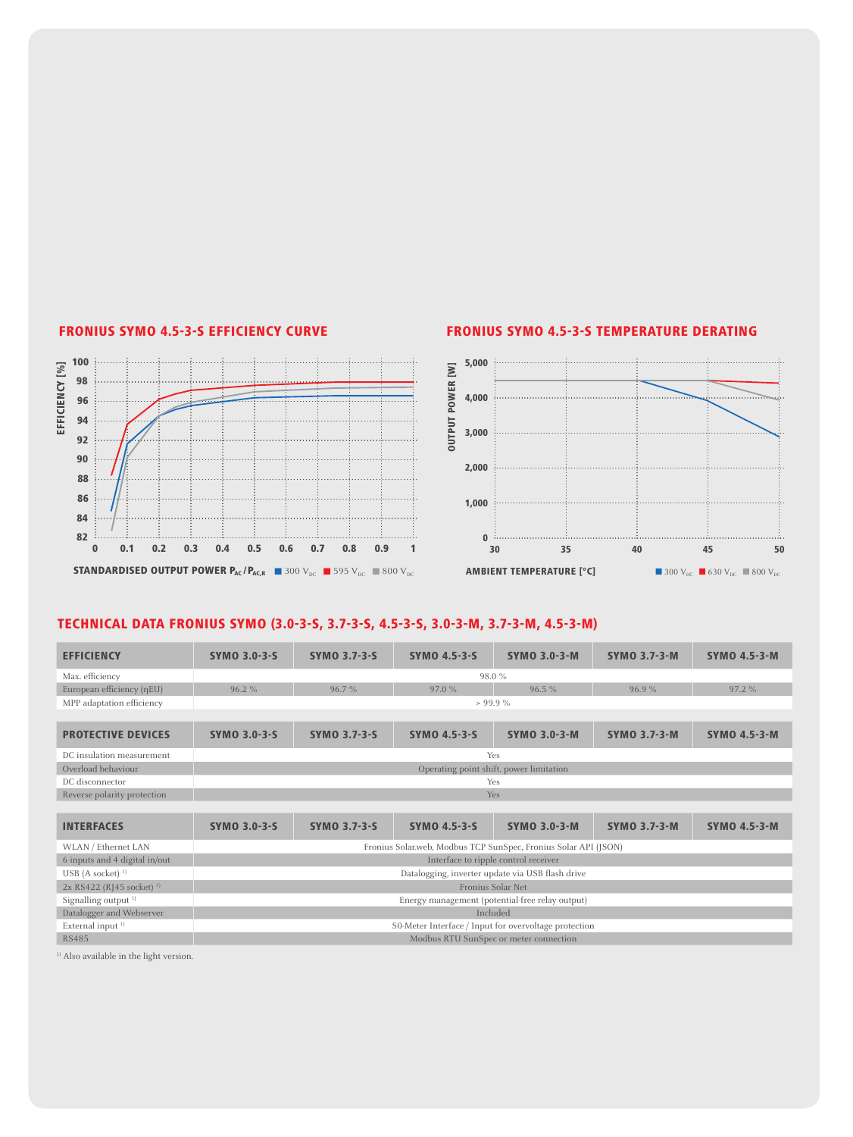

### FRONIUS SYMO 4.5-3-S EFFICIENCY CURVE FRONIUS SYMO 4.5-3-S TEMPERATURE DERATING



# TECHNICAL DATA fronius SYMO (3.0-3-S, 3.7-3-S, 4.5-3-S, 3.0-3-M, 3.7-3-M, 4.5-3-M)

| $\sim$                                                                             |                                      |                     | <b>J</b> ,uuu                                                   |                                                                                                                                                                                                                                              |                     |                     |
|------------------------------------------------------------------------------------|--------------------------------------|---------------------|-----------------------------------------------------------------|----------------------------------------------------------------------------------------------------------------------------------------------------------------------------------------------------------------------------------------------|---------------------|---------------------|
| EFFICIENCY <sup>[%]</sup><br>98<br>96                                              |                                      |                     | <b>OUTPUT POWER [W]</b><br>4,000                                |                                                                                                                                                                                                                                              |                     |                     |
|                                                                                    |                                      |                     |                                                                 |                                                                                                                                                                                                                                              |                     |                     |
| 94                                                                                 |                                      |                     | 3,000                                                           |                                                                                                                                                                                                                                              |                     |                     |
| 92                                                                                 |                                      |                     |                                                                 |                                                                                                                                                                                                                                              |                     |                     |
| 90                                                                                 |                                      |                     | 2,000                                                           |                                                                                                                                                                                                                                              |                     |                     |
| 88                                                                                 |                                      |                     |                                                                 |                                                                                                                                                                                                                                              |                     |                     |
| 86                                                                                 |                                      |                     |                                                                 |                                                                                                                                                                                                                                              |                     |                     |
| 84                                                                                 |                                      |                     | 1,000                                                           |                                                                                                                                                                                                                                              |                     |                     |
|                                                                                    |                                      |                     |                                                                 |                                                                                                                                                                                                                                              |                     |                     |
| 82<br>0.2<br>$\bf{0}$<br>0.1                                                       | 0.3<br>0.4<br>0.5<br>0.6             | 0.7<br>0.8<br>0.9   | 1                                                               | $\mathbf{0}$ . In constrainment constrainment constraint constraint constraints are a set of the set of the set of the set of the set of the set of the set of the set of the set of the set of the set of the set of the set of<br>30<br>35 | 40                  | 45<br>50            |
| TECHNICAL DATA FRONIUS SYMO (3.0-3-S, 3.7-3-S, 4.5-3-S, 3.0-3-M, 3.7-3-M, 4.5-3-M) |                                      |                     |                                                                 |                                                                                                                                                                                                                                              |                     |                     |
| <b>EFFICIENCY</b>                                                                  | <b>SYMO 3.0-3-S</b>                  | <b>SYMO 3.7-3-S</b> | <b>SYMO 4.5-3-S</b>                                             | <b>SYMO 3.0-3-M</b>                                                                                                                                                                                                                          | <b>SYMO 3.7-3-M</b> | <b>SYMO 4.5-3-M</b> |
| Max. efficiency                                                                    |                                      |                     |                                                                 | 98.0 %                                                                                                                                                                                                                                       |                     |                     |
| European efficiency (nEU)                                                          | 96.2%                                | 96.7%               | 97.0 %                                                          | 96.5 %                                                                                                                                                                                                                                       | 96.9%               | 97.2 %              |
| MPP adaptation efficiency                                                          |                                      |                     |                                                                 | > 99.9%                                                                                                                                                                                                                                      |                     |                     |
| <b>PROTECTIVE DEVICES</b>                                                          | <b>SYMO 3.0-3-S</b>                  | <b>SYMO 3.7-3-S</b> | <b>SYMO 4.5-3-S</b>                                             | <b>SYMO 3.0-3-M</b>                                                                                                                                                                                                                          | <b>SYMO 3.7-3-M</b> | <b>SYMO 4.5-3-M</b> |
| DC insulation measurement                                                          |                                      |                     |                                                                 | Yes                                                                                                                                                                                                                                          |                     |                     |
| Overload behaviour                                                                 |                                      |                     |                                                                 | Operating point shift. power limitation                                                                                                                                                                                                      |                     |                     |
| DC disconnector                                                                    |                                      |                     |                                                                 | Yes                                                                                                                                                                                                                                          |                     |                     |
| Reverse polarity protection                                                        |                                      |                     |                                                                 | Yes                                                                                                                                                                                                                                          |                     |                     |
| <b>INTERFACES</b>                                                                  | <b>SYMO 3.0-3-S</b>                  | <b>SYMO 3.7-3-S</b> | <b>SYMO 4.5-3-S</b>                                             | <b>SYMO 3.0-3-M</b>                                                                                                                                                                                                                          | <b>SYMO 3.7-3-M</b> | <b>SYMO 4.5-3-M</b> |
| WLAN / Ethernet LAN                                                                |                                      |                     | Fronius Solar.web, Modbus TCP SunSpec, Fronius Solar API (JSON) |                                                                                                                                                                                                                                              |                     |                     |
| 6 inputs and 4 digital in/out                                                      | Interface to ripple control receiver |                     |                                                                 |                                                                                                                                                                                                                                              |                     |                     |
| $USB$ (A socket) <sup>1)</sup>                                                     |                                      |                     |                                                                 | Datalogging, inverter update via USB flash drive                                                                                                                                                                                             |                     |                     |
| 2x RS422 (RJ45 socket) <sup>1)</sup>                                               |                                      |                     |                                                                 | Fronius Solar Net                                                                                                                                                                                                                            |                     |                     |
| Signalling output <sup>1)</sup>                                                    |                                      |                     |                                                                 | Energy management (potential-free relay output)                                                                                                                                                                                              |                     |                     |
| Datalogger and Webserver                                                           |                                      |                     |                                                                 | Included                                                                                                                                                                                                                                     |                     |                     |
| External input <sup>1)</sup>                                                       |                                      |                     | S0-Meter Interface / Input for overvoltage protection           |                                                                                                                                                                                                                                              |                     |                     |
| <b>RS485</b>                                                                       |                                      |                     |                                                                 | Modbus RTU SunSpec or meter connection                                                                                                                                                                                                       |                     |                     |
| Also available in the light version.                                               |                                      |                     |                                                                 |                                                                                                                                                                                                                                              |                     |                     |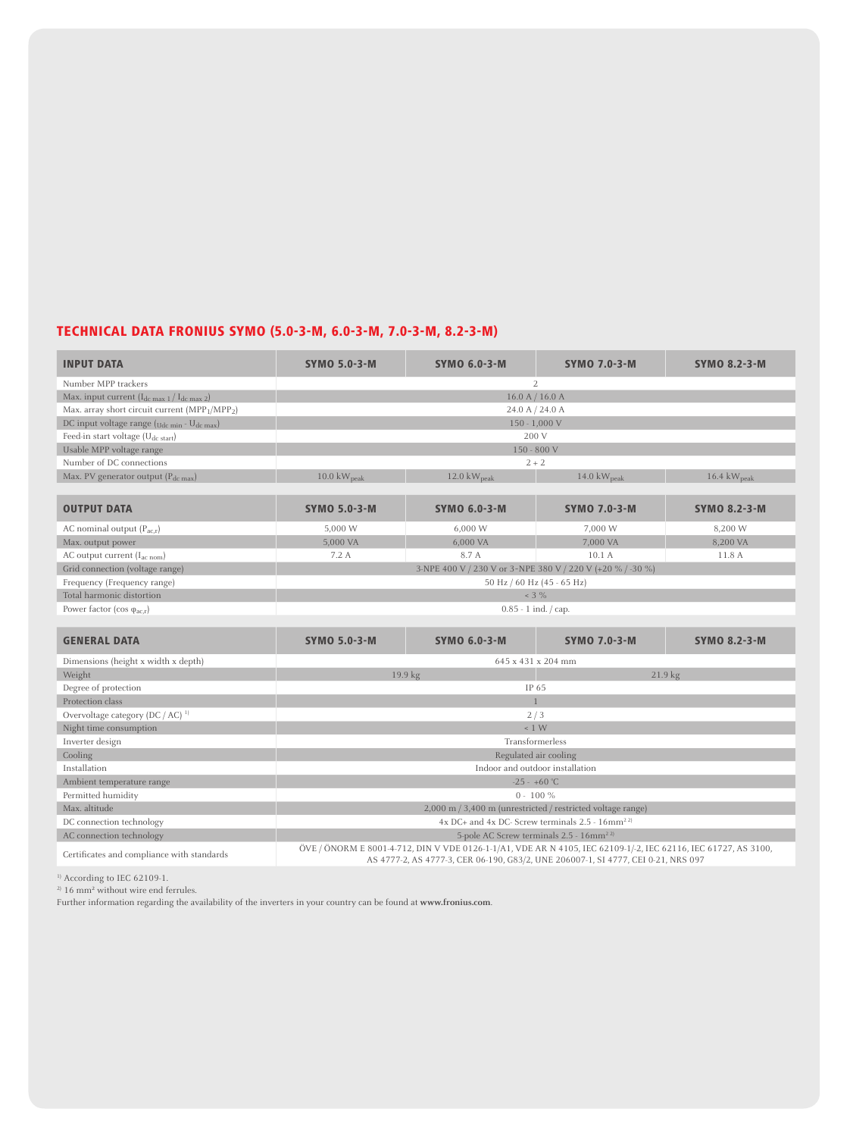# TECHNICAL DATA FRONIUS SYMO (5.0-3-M, 6.0-3-M, 7.0-3-M, 8.2-3-M)

| <b>INPUT DATA</b>                                                      | <b>SYMO 5.0-3-M</b>                                                                                                                                                                                 | <b>SYMO 6.0-3-M</b>             | <b>SYMO 7.0-3-M</b> | <b>SYMO 8.2-3-M</b>             |  |  |  |
|------------------------------------------------------------------------|-----------------------------------------------------------------------------------------------------------------------------------------------------------------------------------------------------|---------------------------------|---------------------|---------------------------------|--|--|--|
| Number MPP trackers                                                    | 2                                                                                                                                                                                                   |                                 |                     |                                 |  |  |  |
| Max. input current $(I_{dc max 1}/I_{dc max 2})$                       | 16.0 A / 16.0 A                                                                                                                                                                                     |                                 |                     |                                 |  |  |  |
| Max. array short circuit current (MPP <sub>1</sub> /MPP <sub>2</sub> ) | 24.0 A / 24.0 A                                                                                                                                                                                     |                                 |                     |                                 |  |  |  |
| DC input voltage range (Udc min - Udc max)                             |                                                                                                                                                                                                     |                                 | $150 - 1,000$ V     |                                 |  |  |  |
| Feed-in start voltage $(U_{dc\ start})$                                |                                                                                                                                                                                                     | 200 V                           |                     |                                 |  |  |  |
| Usable MPP voltage range                                               |                                                                                                                                                                                                     | $150 - 800 V$                   |                     |                                 |  |  |  |
| Number of DC connections                                               |                                                                                                                                                                                                     | $2 + 2$                         |                     |                                 |  |  |  |
| Max. PV generator output (P <sub>dc max</sub> )                        | $10.0 \text{ kW}_{\text{peak}}$                                                                                                                                                                     | $12.0 \text{ kW}_{\text{peak}}$ | 14.0 $kW_{peak}$    | $16.4 \text{ kW}_{\text{peak}}$ |  |  |  |
|                                                                        |                                                                                                                                                                                                     |                                 |                     |                                 |  |  |  |
| <b>OUTPUT DATA</b>                                                     | <b>SYMO 5.0-3-M</b>                                                                                                                                                                                 | <b>SYMO 6.0-3-M</b>             | <b>SYMO 7.0-3-M</b> | <b>SYMO 8.2-3-M</b>             |  |  |  |
| AC nominal output $(P_{ac,r})$                                         | 5,000 W                                                                                                                                                                                             | 6,000 W                         | 7,000 W             | 8,200 W                         |  |  |  |
| Max. output power                                                      | 5,000 VA                                                                                                                                                                                            | 6,000 VA                        | 7,000 VA            | 8,200 VA                        |  |  |  |
| AC output current (I <sub>ac nom</sub> )                               | 7.2 A                                                                                                                                                                                               | 8.7 A                           | 10.1A               | 11.8 A                          |  |  |  |
| Grid connection (voltage range)                                        | 3-NPE 400 V / 230 V or 3~NPE 380 V / 220 V (+20 % / -30 %)                                                                                                                                          |                                 |                     |                                 |  |  |  |
| Frequency (Frequency range)                                            | 50 Hz / 60 Hz (45 - 65 Hz)                                                                                                                                                                          |                                 |                     |                                 |  |  |  |
| Total harmonic distortion                                              |                                                                                                                                                                                                     |                                 | $< 3 \%$            |                                 |  |  |  |
| Power factor (cos $\varphi_{ac,r}$ )                                   |                                                                                                                                                                                                     | $0.85 - 1$ ind. / cap.          |                     |                                 |  |  |  |
|                                                                        |                                                                                                                                                                                                     |                                 |                     |                                 |  |  |  |
| <b>GENERAL DATA</b>                                                    | <b>SYMO 5.0-3-M</b>                                                                                                                                                                                 | <b>SYMO 6.0-3-M</b>             | <b>SYMO 7.0-3-M</b> | <b>SYMO 8.2-3-M</b>             |  |  |  |
| Dimensions (height x width x depth)                                    |                                                                                                                                                                                                     | 645 x 431 x 204 mm              |                     |                                 |  |  |  |
| Weight                                                                 | 19.9 kg<br>21.9 kg                                                                                                                                                                                  |                                 |                     |                                 |  |  |  |
| Degree of protection                                                   |                                                                                                                                                                                                     | IP 65                           |                     |                                 |  |  |  |
| Protection class                                                       |                                                                                                                                                                                                     | $\mathbf{1}$                    |                     |                                 |  |  |  |
| Overvoltage category (DC / AC) <sup>1)</sup>                           | 2/3                                                                                                                                                                                                 |                                 |                     |                                 |  |  |  |
| Night time consumption                                                 | ~1 W                                                                                                                                                                                                |                                 |                     |                                 |  |  |  |
| Inverter design                                                        | Transformerless                                                                                                                                                                                     |                                 |                     |                                 |  |  |  |
| Cooling                                                                | Regulated air cooling                                                                                                                                                                               |                                 |                     |                                 |  |  |  |
| Installation                                                           | Indoor and outdoor installation                                                                                                                                                                     |                                 |                     |                                 |  |  |  |
| Ambient temperature range                                              | $-25 - +60$ °C                                                                                                                                                                                      |                                 |                     |                                 |  |  |  |
| Permitted humidity                                                     | $0 - 100 \%$                                                                                                                                                                                        |                                 |                     |                                 |  |  |  |
| Max. altitude                                                          | 2,000 m / 3,400 m (unrestricted / restricted voltage range)                                                                                                                                         |                                 |                     |                                 |  |  |  |
| DC connection technology                                               | $4x$ DC+ and $4x$ DC- Screw terminals 2.5 - $16$ mm <sup>22)</sup>                                                                                                                                  |                                 |                     |                                 |  |  |  |
| AC connection technology                                               | 5-pole AC Screw terminals 2.5 - 16mm <sup>22)</sup>                                                                                                                                                 |                                 |                     |                                 |  |  |  |
| Certificates and compliance with standards                             | ÖVE / ÖNORM E 8001-4-712, DIN V VDE 0126-1-1/A1, VDE AR N 4105, IEC 62109-1/-2, IEC 62116, IEC 61727, AS 3100,<br>AS 4777-2, AS 4777-3, CER 06-190, G83/2, UNE 206007-1, SI 4777, CEI 0-21, NRS 097 |                                 |                     |                                 |  |  |  |

1) According to IEC 62109-1.

<sup>2)</sup> 16 mm<sup>2</sup> without wire end ferrules.

Further information regarding the availability of the inverters in your country can be found at **www.fronius.com**.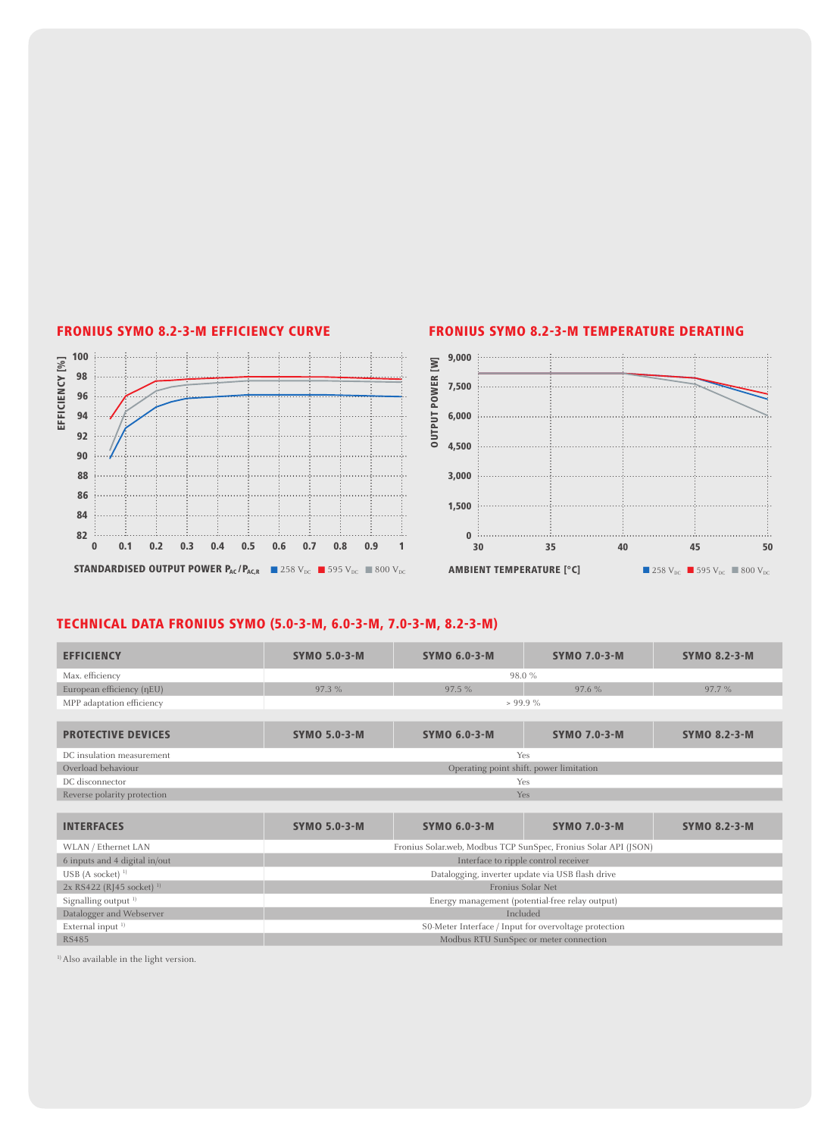

### FRONIUS SYMO 8.2-3-M EFFICIENCY CURVE FRONIUS SYMO 8.2-3-M TEMPERATURE DERATING



# TECHNICAL DATA FRONIUS SYMO (5.0-3-M, 6.0-3-M, 7.0-3-M, 8.2-3-M)

| <b>EFFICIENCY</b>                      | <b>SYMO 5.0-3-M</b>                                             | <b>SYMO 6.0-3-M</b>                     | <b>SYMO 7.0-3-M</b> | <b>SYMO 8.2-3-M</b> |  |  |  |
|----------------------------------------|-----------------------------------------------------------------|-----------------------------------------|---------------------|---------------------|--|--|--|
| Max. efficiency                        | 98.0%                                                           |                                         |                     |                     |  |  |  |
| European efficiency (nEU)              | 97.3%                                                           | 97.5%                                   | 97.6%               | 97.7%               |  |  |  |
| MPP adaptation efficiency              |                                                                 | $> 99.9\%$                              |                     |                     |  |  |  |
|                                        |                                                                 |                                         |                     |                     |  |  |  |
| <b>PROTECTIVE DEVICES</b>              | <b>SYMO 5.0-3-M</b>                                             | <b>SYMO 6.0-3-M</b>                     | <b>SYMO 7.0-3-M</b> | <b>SYMO 8.2-3-M</b> |  |  |  |
| DC insulation measurement              | Yes                                                             |                                         |                     |                     |  |  |  |
| Overload behaviour                     |                                                                 | Operating point shift. power limitation |                     |                     |  |  |  |
| DC disconnector                        | Yes                                                             |                                         |                     |                     |  |  |  |
| Reverse polarity protection            | <b>Yes</b>                                                      |                                         |                     |                     |  |  |  |
|                                        |                                                                 |                                         |                     |                     |  |  |  |
| <b>INTERFACES</b>                      | <b>SYMO 5.0-3-M</b>                                             | <b>SYMO 6.0-3-M</b>                     | <b>SYMO 7.0-3-M</b> | <b>SYMO 8.2-3-M</b> |  |  |  |
| WLAN / Ethernet LAN                    | Fronius Solar.web, Modbus TCP SunSpec, Fronius Solar API (JSON) |                                         |                     |                     |  |  |  |
| 6 inputs and 4 digital in/out          | Interface to ripple control receiver                            |                                         |                     |                     |  |  |  |
| USB (A socket) $1$                     | Datalogging, inverter update via USB flash drive                |                                         |                     |                     |  |  |  |
| $2x$ RS422 (RJ45 socket) <sup>1)</sup> | Fronius Solar Net                                               |                                         |                     |                     |  |  |  |
| Signalling output <sup>1)</sup>        | Energy management (potential-free relay output)                 |                                         |                     |                     |  |  |  |
| Datalogger and Webserver               | Included                                                        |                                         |                     |                     |  |  |  |
| External input <sup>1)</sup>           | S0-Meter Interface / Input for overvoltage protection           |                                         |                     |                     |  |  |  |
| <b>RS485</b>                           |                                                                 | Modbus RTU SunSpec or meter connection  |                     |                     |  |  |  |

<sup>1)</sup> Also available in the light version.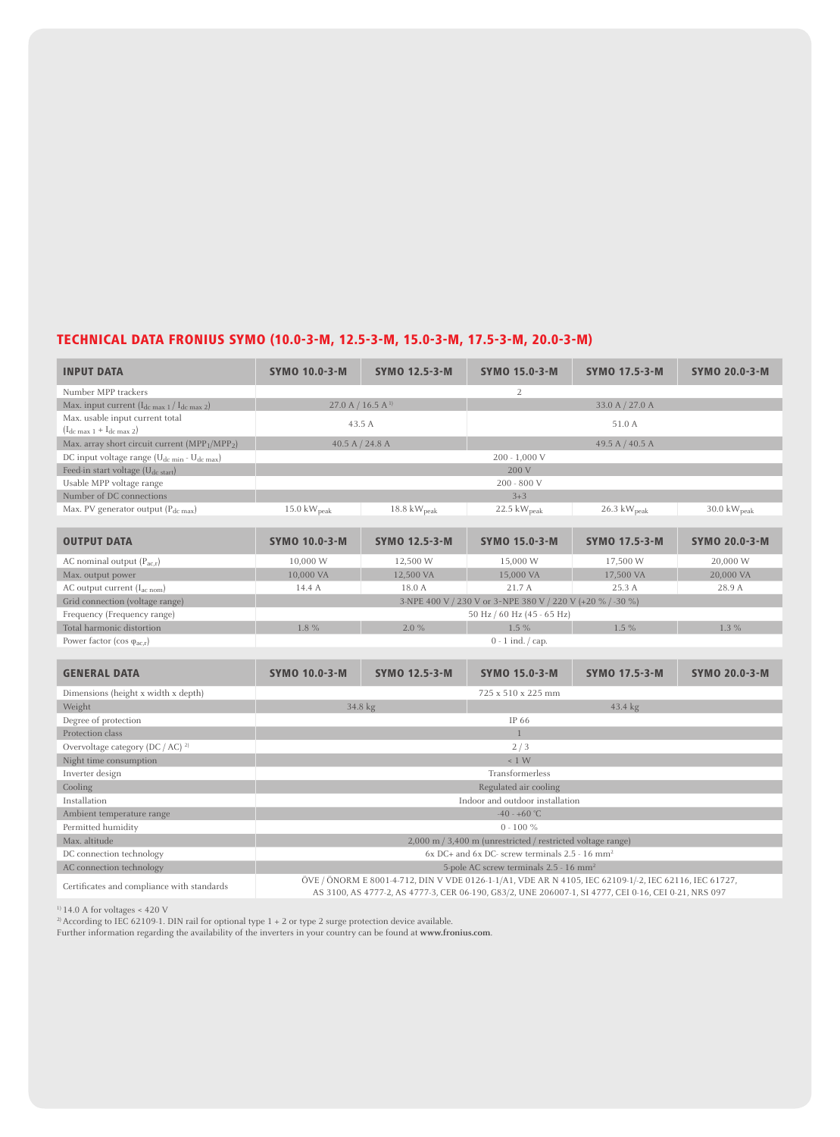# TECHNICAL DATA FRONIUS SYMO (10.0-3-M, 12.5-3-M, 15.0-3-M, 17.5-3-M, 20.0-3-M)

| <b>INPUT DATA</b>                                                   | <b>SYMO 10.0-3-M</b>                                                                                                                                                                                          | <b>SYMO 12.5-3-M</b>    | <b>SYMO 15.0-3-M</b>                                        | <b>SYMO 17.5-3-M</b>     | <b>SYMO 20.0-3-M</b>            |  |  |
|---------------------------------------------------------------------|---------------------------------------------------------------------------------------------------------------------------------------------------------------------------------------------------------------|-------------------------|-------------------------------------------------------------|--------------------------|---------------------------------|--|--|
| Number MPP trackers                                                 |                                                                                                                                                                                                               |                         | 2                                                           |                          |                                 |  |  |
| Max. input current $(I_{dc \max 1}/I_{dc \max 2})$                  | $27.0 A / 16.5 A$ <sup>1)</sup>                                                                                                                                                                               |                         |                                                             | 33.0 A / 27.0 A          |                                 |  |  |
| Max. usable input current total                                     | 43.5 A                                                                                                                                                                                                        |                         |                                                             | 51.0 A                   |                                 |  |  |
| $(I_{dc max 1} + I_{dc max 2})$                                     |                                                                                                                                                                                                               |                         |                                                             |                          |                                 |  |  |
| Max. array short circuit current (MPP1/MPP2)                        | 40.5 A $/$ 24.8 A                                                                                                                                                                                             |                         |                                                             | 49.5 A $/$ 40.5 A        |                                 |  |  |
| DC input voltage range (U <sub>dc min</sub> - U <sub>dc max</sub> ) |                                                                                                                                                                                                               |                         | $200 - 1,000$ V                                             |                          |                                 |  |  |
| Feed-in start voltage (U <sub>dc start</sub> )                      |                                                                                                                                                                                                               |                         | 200 V                                                       |                          |                                 |  |  |
| Usable MPP voltage range                                            |                                                                                                                                                                                                               |                         | 200 - 800 V                                                 |                          |                                 |  |  |
| Number of DC connections                                            |                                                                                                                                                                                                               |                         | $3 + 3$                                                     |                          |                                 |  |  |
| Max. PV generator output $(P_{dc max})$                             | 15.0 $kW_{peak}$                                                                                                                                                                                              | 18.8 kW <sub>peak</sub> | 22.5 $kW_{peak}$                                            | $26.3 \text{ kW}_{peak}$ | $30.0 \text{ kW}_{\text{peak}}$ |  |  |
| <b>OUTPUT DATA</b>                                                  | <b>SYMO 10.0-3-M</b>                                                                                                                                                                                          | <b>SYMO 12.5-3-M</b>    | <b>SYMO 15.0-3-M</b>                                        | <b>SYMO 17.5-3-M</b>     | <b>SYMO 20.0-3-M</b>            |  |  |
| AC nominal output $(P_{ac,r})$                                      | 10,000 W                                                                                                                                                                                                      | 12,500 W                | 15,000 W                                                    | 17,500 W                 | 20,000 W                        |  |  |
| Max. output power                                                   | 10,000 VA                                                                                                                                                                                                     | 12,500 VA               | 15,000 VA                                                   | 17,500 VA                | 20,000 VA                       |  |  |
| AC output current (I <sub>ac nom</sub> )                            | 14.4 A                                                                                                                                                                                                        | 18.0 A                  | 21.7 A                                                      | 25.3A                    | 28.9 A                          |  |  |
| Grid connection (voltage range)                                     |                                                                                                                                                                                                               |                         | 3-NPE 400 V / 230 V or 3~NPE 380 V / 220 V (+20 % / -30 %)  |                          |                                 |  |  |
| Frequency (Frequency range)                                         |                                                                                                                                                                                                               |                         | 50 Hz / 60 Hz (45 - 65 Hz)                                  |                          |                                 |  |  |
| Total harmonic distortion                                           | 1.8 %                                                                                                                                                                                                         | 2.0%                    | 1.5%                                                        | 1.5 %                    | 1.3 %                           |  |  |
| Power factor (cos $\varphi_{ac,r}$ )                                |                                                                                                                                                                                                               |                         | $0 - 1$ ind. $\frac{\pi}{2}$ cap.                           |                          |                                 |  |  |
|                                                                     |                                                                                                                                                                                                               |                         |                                                             |                          |                                 |  |  |
| <b>GENERAL DATA</b>                                                 | <b>SYMO 10.0-3-M</b>                                                                                                                                                                                          | <b>SYMO 12.5-3-M</b>    | <b>SYMO 15.0-3-M</b>                                        | <b>SYMO 17.5-3-M</b>     | <b>SYMO 20.0-3-M</b>            |  |  |
| Dimensions (height x width x depth)                                 |                                                                                                                                                                                                               |                         | 725 x 510 x 225 mm                                          |                          |                                 |  |  |
| Weight                                                              | 34.8 kg<br>43.4 kg                                                                                                                                                                                            |                         |                                                             |                          |                                 |  |  |
| Degree of protection                                                | IP 66                                                                                                                                                                                                         |                         |                                                             |                          |                                 |  |  |
| Protection class                                                    |                                                                                                                                                                                                               |                         |                                                             |                          |                                 |  |  |
| Overvoltage category (DC / AC) <sup>2)</sup>                        | 2/3                                                                                                                                                                                                           |                         |                                                             |                          |                                 |  |  |
| Night time consumption                                              | $\leq 1$ W                                                                                                                                                                                                    |                         |                                                             |                          |                                 |  |  |
| Inverter design                                                     | Transformerless                                                                                                                                                                                               |                         |                                                             |                          |                                 |  |  |
| Cooling                                                             | Regulated air cooling                                                                                                                                                                                         |                         |                                                             |                          |                                 |  |  |
| Installation                                                        | Indoor and outdoor installation                                                                                                                                                                               |                         |                                                             |                          |                                 |  |  |
| Ambient temperature range                                           | $-40 - +60$ °C                                                                                                                                                                                                |                         |                                                             |                          |                                 |  |  |
| Permitted humidity                                                  | $0 - 100 \%$                                                                                                                                                                                                  |                         |                                                             |                          |                                 |  |  |
| Max. altitude                                                       |                                                                                                                                                                                                               |                         | 2,000 m / 3,400 m (unrestricted / restricted voltage range) |                          |                                 |  |  |
| DC connection technology                                            | $6x$ DC+ and $6x$ DC- screw terminals 2.5 - 16 mm <sup>2</sup>                                                                                                                                                |                         |                                                             |                          |                                 |  |  |
| AC connection technology                                            | 5-pole AC screw terminals 2.5 - 16 mm <sup>2</sup>                                                                                                                                                            |                         |                                                             |                          |                                 |  |  |
| Certificates and compliance with standards                          | ÖVE / ÖNORM E 8001-4-712, DIN V VDE 0126-1-1/A1, VDE AR N 4105, IEC 62109-1/-2, IEC 62116, IEC 61727,<br>AS 3100, AS 4777-2, AS 4777-3, CER 06-190, G83/2, UNE 206007-1, SI 4777, CEI 0-16, CEI 0-21, NRS 097 |                         |                                                             |                          |                                 |  |  |

 $^{11}$  14.0 A for voltages < 420 V<br> $^{21}$  According to IEC 62109-1. DIN rail for optional type 1 + 2 or type 2 surge protection device available.

Further information regarding the availability of the inverters in your country can be found at **www.fronius.com**.